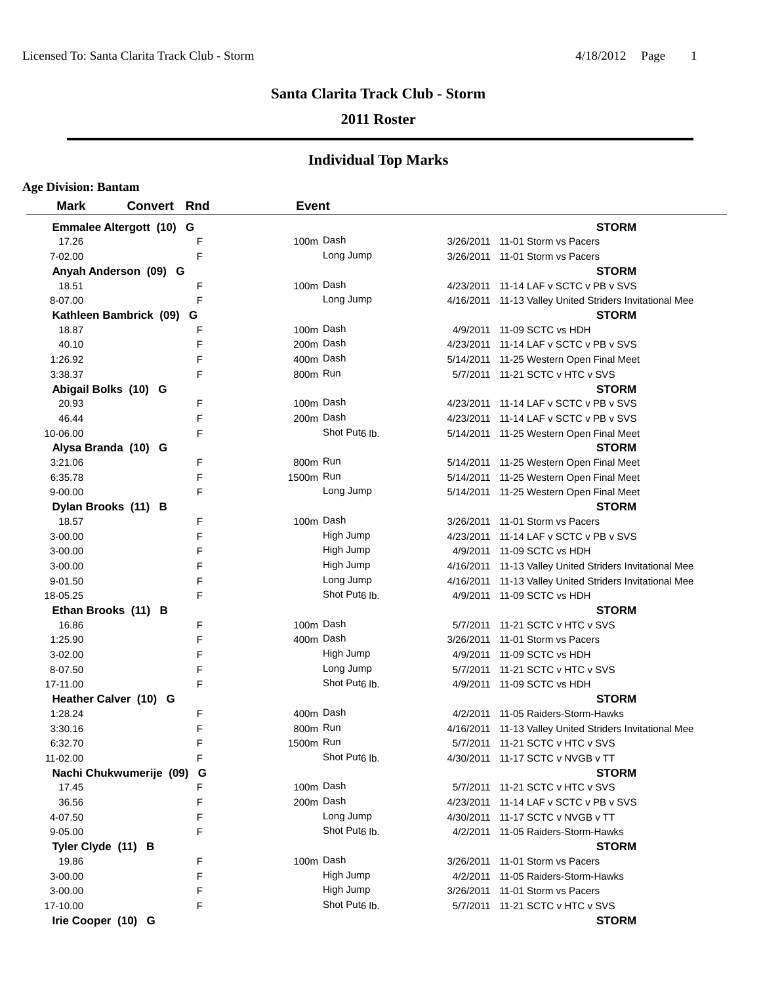### **2011 Roster**

| <b>Age Division: Bantam</b> |                    |   |              |                           |           |                                                         |
|-----------------------------|--------------------|---|--------------|---------------------------|-----------|---------------------------------------------------------|
| <b>Mark</b>                 | <b>Convert Rnd</b> |   | <b>Event</b> |                           |           |                                                         |
| Emmalee Altergott (10) G    |                    |   |              |                           |           | <b>STORM</b>                                            |
| 17.26                       |                    | F |              | 100m Dash                 |           | 3/26/2011 11-01 Storm vs Pacers                         |
| 7-02.00                     |                    | F |              | Long Jump                 |           | 3/26/2011 11-01 Storm vs Pacers                         |
| Anyah Anderson (09) G       |                    |   |              |                           |           | <b>STORM</b>                                            |
| 18.51                       |                    | F |              | 100m Dash                 |           | 4/23/2011 11-14 LAF v SCTC v PB v SVS                   |
| 8-07.00                     |                    | F |              | Long Jump                 |           | 4/16/2011 11-13 Valley United Striders Invitational Mee |
| Kathleen Bambrick (09)      |                    | G |              |                           |           | <b>STORM</b>                                            |
| 18.87                       |                    | F |              | 100m Dash                 | 4/9/2011  | 11-09 SCTC vs HDH                                       |
| 40.10                       |                    | F |              | 200m Dash                 |           | 4/23/2011 11-14 LAF v SCTC v PB v SVS                   |
| 1:26.92                     |                    | F |              | 400m Dash                 |           | 5/14/2011 11-25 Western Open Final Meet                 |
| 3:38.37                     |                    | F | 800m Run     |                           |           | 5/7/2011 11-21 SCTC v HTC v SVS                         |
| Abigail Bolks (10) G        |                    |   |              |                           |           | <b>STORM</b>                                            |
| 20.93                       |                    | F |              | 100m Dash                 |           | 4/23/2011 11-14 LAF v SCTC v PB v SVS                   |
| 46.44                       |                    | F |              | 200m Dash                 |           | 4/23/2011 11-14 LAF v SCTC v PB v SVS                   |
| 10-06.00                    |                    | F |              | Shot Put <sub>6</sub> lb. |           | 5/14/2011 11-25 Western Open Final Meet                 |
| Alysa Branda (10) G         |                    |   |              |                           |           | <b>STORM</b>                                            |
| 3:21.06                     |                    | F | 800m Run     |                           |           | 5/14/2011 11-25 Western Open Final Meet                 |
| 6:35.78                     |                    | F | 1500m Run    |                           |           | 5/14/2011 11-25 Western Open Final Meet                 |
| $9 - 00.00$                 |                    | F |              | Long Jump                 |           | 5/14/2011 11-25 Western Open Final Meet                 |
| Dylan Brooks (11) B         |                    |   |              |                           |           | <b>STORM</b>                                            |
| 18.57                       |                    | F |              | 100m Dash                 |           | 3/26/2011 11-01 Storm vs Pacers                         |
| $3 - 00.00$                 |                    | F |              | High Jump                 |           | 4/23/2011 11-14 LAF v SCTC v PB v SVS                   |
| $3 - 00.00$                 |                    | F |              | High Jump                 |           | 4/9/2011 11-09 SCTC vs HDH                              |
| $3 - 00.00$                 |                    | F |              | High Jump                 |           | 4/16/2011 11-13 Valley United Striders Invitational Mee |
| 9-01.50                     |                    | F |              | Long Jump                 | 4/16/2011 | 11-13 Valley United Striders Invitational Mee           |
| 18-05.25                    |                    | F |              | Shot Put <sub>6</sub> lb. |           | 4/9/2011 11-09 SCTC vs HDH                              |
| Ethan Brooks (11) B         |                    |   |              |                           |           | <b>STORM</b>                                            |
| 16.86                       |                    | F |              | 100m Dash                 | 5/7/2011  | 11-21 SCTC v HTC v SVS                                  |
| 1:25.90                     |                    | F |              | 400m Dash                 | 3/26/2011 | 11-01 Storm vs Pacers                                   |
| 3-02.00                     |                    | F |              | High Jump                 | 4/9/2011  | 11-09 SCTC vs HDH                                       |
| 8-07.50                     |                    | F |              | Long Jump                 | 5/7/2011  | 11-21 SCTC v HTC v SVS                                  |
| 17-11.00                    |                    | F |              | Shot Put <sub>6</sub> lb. | 4/9/2011  | 11-09 SCTC vs HDH                                       |
| Heather Calver (10) G       |                    |   |              |                           |           | <b>STORM</b>                                            |
| 1:28.24                     |                    | F |              | 400m Dash                 | 4/2/2011  | 11-05 Raiders-Storm-Hawks                               |
| 3:30.16                     |                    | F | 800m Run     |                           |           | 4/16/2011 11-13 Valley United Striders Invitational Mee |
| 6:32.70                     |                    | F | 1500m Run    |                           |           | 5/7/2011 11-21 SCTC v HTC v SVS                         |
| 11-02.00                    |                    | F |              | Shot Put <sub>6</sub> lb. |           | 4/30/2011 11-17 SCTC v NVGB v TT                        |
| Nachi Chukwumerije (09)     |                    | G |              |                           |           | <b>STORM</b>                                            |
| 17.45                       |                    | F |              | 100m Dash                 |           | 5/7/2011 11-21 SCTC v HTC v SVS                         |
| 36.56                       |                    | F |              | 200m Dash                 | 4/23/2011 | 11-14 LAF v SCTC v PB v SVS                             |
| 4-07.50                     |                    | F |              | Long Jump                 | 4/30/2011 | 11-17 SCTC v NVGB v TT                                  |
| 9-05.00                     |                    | F |              | Shot Put <sub>6</sub> lb. |           | 4/2/2011 11-05 Raiders-Storm-Hawks                      |
| Tyler Clyde (11) B          |                    |   |              |                           |           | <b>STORM</b>                                            |
| 19.86                       |                    | F |              | 100m Dash                 | 3/26/2011 | 11-01 Storm vs Pacers                                   |
| 3-00.00                     |                    | F |              | High Jump                 | 4/2/2011  | 11-05 Raiders-Storm-Hawks                               |
| 3-00.00                     |                    | F |              | High Jump                 | 3/26/2011 | 11-01 Storm vs Pacers                                   |
| 17-10.00                    |                    | F |              | Shot Put <sub>6</sub> lb. |           | 5/7/2011 11-21 SCTC v HTC v SVS                         |
| Irie Cooper (10) G          |                    |   |              |                           |           | <b>STORM</b>                                            |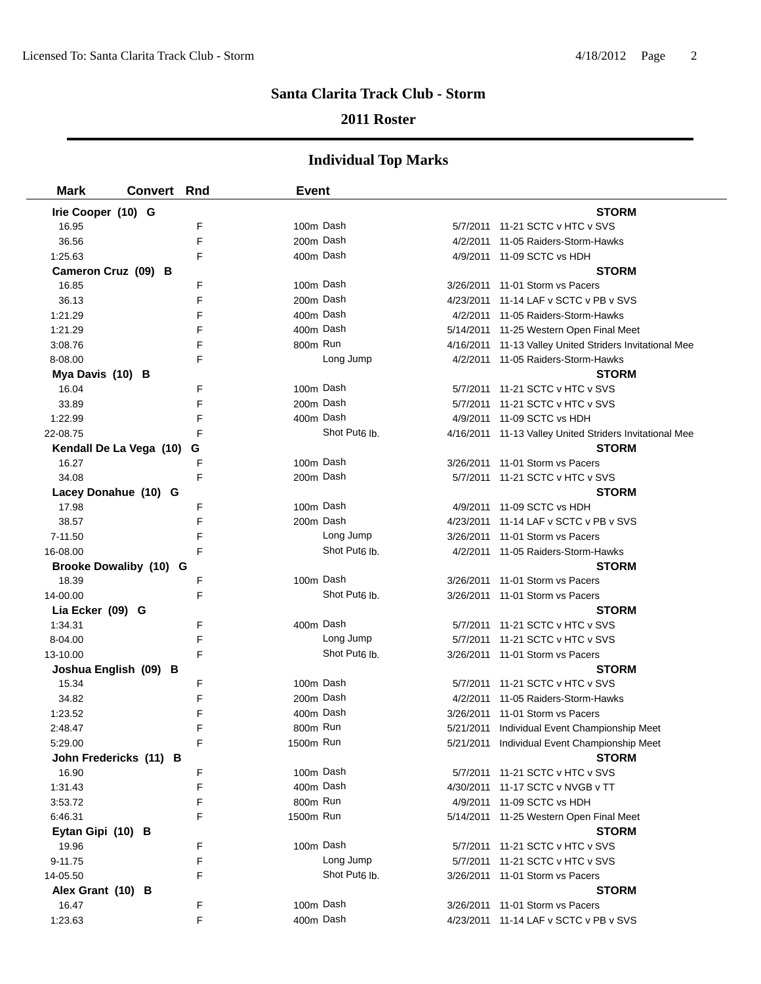#### **2011 Roster**

| <b>Mark</b>         | <b>Convert Rnd</b>      |        | <b>Event</b> |                                        |                                                         |
|---------------------|-------------------------|--------|--------------|----------------------------------------|---------------------------------------------------------|
| Irie Cooper (10) G  |                         |        |              |                                        | <b>STORM</b>                                            |
| 16.95               |                         | F      | 100m Dash    |                                        | 5/7/2011 11-21 SCTC v HTC v SVS                         |
| 36.56               |                         | F      | 200m Dash    |                                        | 4/2/2011 11-05 Raiders-Storm-Hawks                      |
| 1:25.63             |                         | F      | 400m Dash    |                                        | 4/9/2011 11-09 SCTC vs HDH                              |
| Cameron Cruz (09) B |                         |        |              |                                        | <b>STORM</b>                                            |
| 16.85               |                         | F      | 100m Dash    |                                        | 3/26/2011 11-01 Storm vs Pacers                         |
| 36.13               |                         | F      | 200m Dash    |                                        | 4/23/2011 11-14 LAF v SCTC v PB v SVS                   |
| 1:21.29             |                         | F      | 400m Dash    |                                        | 4/2/2011 11-05 Raiders-Storm-Hawks                      |
| 1:21.29             |                         | F      | 400m Dash    |                                        | 5/14/2011 11-25 Western Open Final Meet                 |
| 3:08.76             |                         | F      | 800m Run     |                                        | 4/16/2011 11-13 Valley United Striders Invitational Mee |
| 8-08.00             |                         | F      |              | Long Jump                              | 4/2/2011 11-05 Raiders-Storm-Hawks                      |
| Mya Davis (10) B    |                         |        |              |                                        | <b>STORM</b>                                            |
| 16.04               |                         | F      | 100m Dash    |                                        | 5/7/2011 11-21 SCTC v HTC v SVS                         |
| 33.89               |                         | F      | 200m Dash    |                                        | 5/7/2011 11-21 SCTC v HTC v SVS                         |
| 1:22.99             |                         | F      | 400m Dash    |                                        | 4/9/2011 11-09 SCTC vs HDH                              |
| 22-08.75            |                         | F      |              | Shot Put <sub>6</sub> lb.              | 4/16/2011 11-13 Valley United Striders Invitational Mee |
|                     | Kendall De La Vega (10) | G      |              |                                        | <b>STORM</b>                                            |
| 16.27               |                         | F      | 100m Dash    |                                        | 3/26/2011 11-01 Storm vs Pacers                         |
| 34.08               |                         | F      | 200m Dash    |                                        | 5/7/2011 11-21 SCTC v HTC v SVS                         |
|                     | Lacey Donahue (10) G    |        |              |                                        | <b>STORM</b>                                            |
| 17.98               |                         | F      | 100m Dash    |                                        | 4/9/2011 11-09 SCTC vs HDH                              |
| 38.57               |                         | F      | 200m Dash    |                                        | 4/23/2011 11-14 LAF v SCTC v PB v SVS                   |
| 7-11.50             |                         | F      |              | Long Jump                              | 3/26/2011 11-01 Storm vs Pacers                         |
| 16-08.00            |                         | F      |              | Shot Put <sub>6</sub> lb.              | 4/2/2011 11-05 Raiders-Storm-Hawks                      |
|                     | Brooke Dowaliby (10) G  |        |              |                                        | <b>STORM</b>                                            |
| 18.39               |                         | F      | 100m Dash    |                                        | 3/26/2011 11-01 Storm vs Pacers                         |
| 14-00.00            |                         | F      |              | Shot Put <sub>6</sub> lb.              | 3/26/2011 11-01 Storm vs Pacers                         |
| Lia Ecker (09) G    |                         |        |              |                                        | <b>STORM</b>                                            |
| 1:34.31             |                         | F      | 400m Dash    |                                        | 5/7/2011 11-21 SCTC v HTC v SVS                         |
| 8-04.00             |                         | F<br>F |              | Long Jump<br>Shot Put <sub>6</sub> lb. | 5/7/2011 11-21 SCTC v HTC v SVS                         |
| 13-10.00            |                         |        |              |                                        | 3/26/2011 11-01 Storm vs Pacers<br><b>STORM</b>         |
| 15.34               | Joshua English (09) B   | F      | 100m Dash    |                                        | 5/7/2011 11-21 SCTC v HTC v SVS                         |
| 34.82               |                         | F      | 200m Dash    |                                        | 4/2/2011 11-05 Raiders-Storm-Hawks                      |
| 1:23.52             |                         | F      | 400m Dash    |                                        | 3/26/2011 11-01 Storm vs Pacers                         |
| 2:48.47             |                         | F      | 800m Run     |                                        | 5/21/2011 Individual Event Championship Meet            |
| 5:29.00             |                         | F      | 1500m Run    |                                        | 5/21/2011 Individual Event Championship Meet            |
|                     | John Fredericks (11) B  |        |              |                                        | <b>STORM</b>                                            |
| 16.90               |                         | F      | 100m Dash    |                                        | 5/7/2011 11-21 SCTC v HTC v SVS                         |
| 1:31.43             |                         | F      | 400m Dash    |                                        | 4/30/2011 11-17 SCTC v NVGB v TT                        |
| 3:53.72             |                         | F      | 800m Run     |                                        | 4/9/2011 11-09 SCTC vs HDH                              |
| 6:46.31             |                         | F      | 1500m Run    |                                        | 5/14/2011 11-25 Western Open Final Meet                 |
| Eytan Gipi (10) B   |                         |        |              |                                        | <b>STORM</b>                                            |
| 19.96               |                         | F      | 100m Dash    |                                        | 5/7/2011 11-21 SCTC v HTC v SVS                         |
| 9-11.75             |                         | F      |              | Long Jump                              | 5/7/2011 11-21 SCTC v HTC v SVS                         |
| 14-05.50            |                         | F      |              | Shot Put <sub>6</sub> lb.              | 3/26/2011 11-01 Storm vs Pacers                         |
| Alex Grant (10) B   |                         |        |              |                                        | <b>STORM</b>                                            |
| 16.47               |                         | F      | 100m Dash    |                                        | 3/26/2011 11-01 Storm vs Pacers                         |
| 1:23.63             |                         | F      | 400m Dash    |                                        | 4/23/2011 11-14 LAF v SCTC v PB v SVS                   |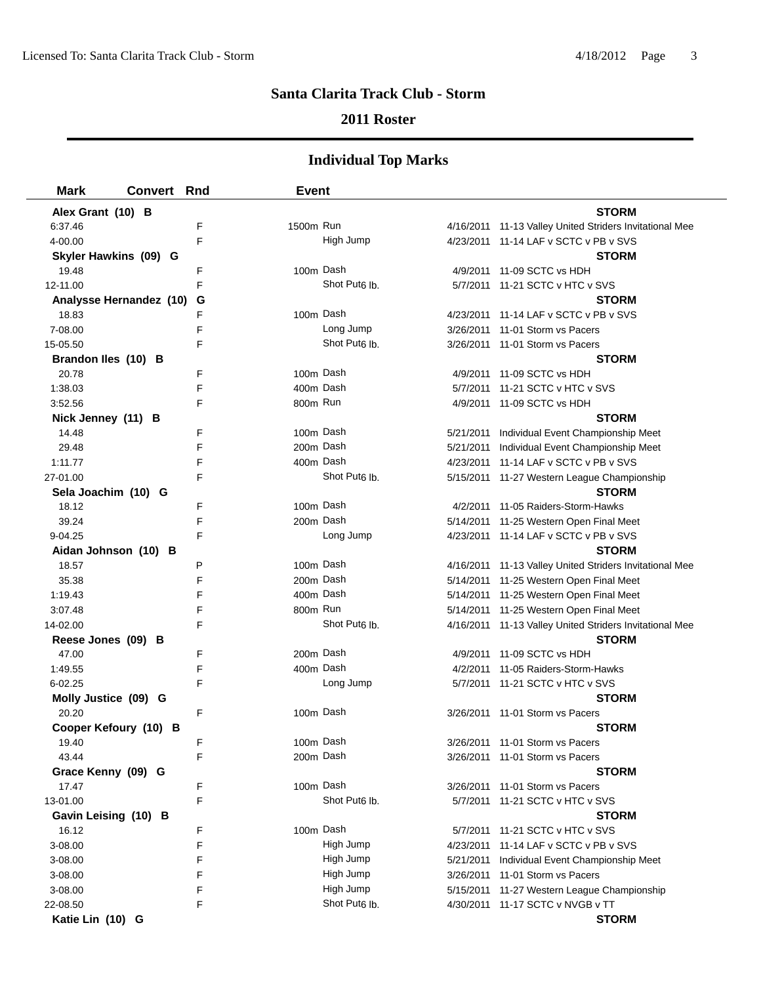#### **2011 Roster**

| <b>Mark</b>             | <b>Convert Rnd</b> |   | <b>Event</b>          |                           |                                                         |
|-------------------------|--------------------|---|-----------------------|---------------------------|---------------------------------------------------------|
| Alex Grant (10) B       |                    |   |                       |                           | <b>STORM</b>                                            |
| 6:37.46                 |                    | F | 1500m Run             |                           | 4/16/2011 11-13 Valley United Striders Invitational Mee |
| 4-00.00                 |                    | F |                       | High Jump                 | 4/23/2011 11-14 LAF v SCTC v PB v SVS                   |
| Skyler Hawkins (09) G   |                    |   |                       |                           | <b>STORM</b>                                            |
| 19.48                   |                    | F | 100m Dash             |                           | 4/9/2011 11-09 SCTC vs HDH                              |
| 12-11.00                |                    | F |                       | Shot Put <sub>6</sub> lb. | 5/7/2011 11-21 SCTC v HTC v SVS                         |
| Analysse Hernandez (10) |                    | G |                       |                           | <b>STORM</b>                                            |
| 18.83                   |                    | F | 100m Dash             |                           | 4/23/2011 11-14 LAF v SCTC v PB v SVS                   |
| 7-08.00                 |                    | F |                       | Long Jump                 | 3/26/2011 11-01 Storm vs Pacers                         |
| 15-05.50                |                    | F |                       | Shot Put <sub>6</sub> lb. | 3/26/2011 11-01 Storm vs Pacers                         |
| Brandon Iles (10) B     |                    |   |                       |                           | <b>STORM</b>                                            |
| 20.78                   |                    | F | 100m Dash             |                           | 4/9/2011 11-09 SCTC vs HDH                              |
| 1:38.03                 |                    | F | 400m Dash             |                           | 5/7/2011 11-21 SCTC v HTC v SVS                         |
| 3:52.56                 |                    | F | 800m Run              |                           | 4/9/2011 11-09 SCTC vs HDH                              |
| Nick Jenney (11) B      |                    |   |                       |                           | <b>STORM</b>                                            |
| 14.48                   |                    | F | 100m Dash             |                           | 5/21/2011 Individual Event Championship Meet            |
| 29.48                   |                    | F | 200m Dash             |                           | 5/21/2011 Individual Event Championship Meet            |
| 1:11.77                 |                    | F | 400m Dash             |                           | 4/23/2011 11-14 LAF v SCTC v PB v SVS                   |
| 27-01.00                |                    | F |                       | Shot Put <sub>6</sub> lb. | 5/15/2011 11-27 Western League Championship             |
| Sela Joachim (10) G     |                    |   |                       |                           | <b>STORM</b>                                            |
| 18.12                   |                    | F |                       | 100m Dash                 | 4/2/2011 11-05 Raiders-Storm-Hawks                      |
| 39.24                   |                    | F | 200m Dash             |                           | 5/14/2011 11-25 Western Open Final Meet                 |
| 9-04.25                 |                    | F |                       | Long Jump                 | 4/23/2011 11-14 LAF v SCTC v PB v SVS                   |
| Aidan Johnson (10) B    |                    |   |                       |                           | <b>STORM</b>                                            |
| 18.57                   |                    | P | 100m Dash             |                           | 4/16/2011 11-13 Valley United Striders Invitational Mee |
| 35.38                   |                    | F | 200m Dash             |                           | 5/14/2011 11-25 Western Open Final Meet                 |
| 1:19.43                 |                    | F | 400m Dash             |                           | 5/14/2011 11-25 Western Open Final Meet                 |
| 3:07.48                 |                    | F | 800m Run              |                           | 5/14/2011 11-25 Western Open Final Meet                 |
| 14-02.00                |                    | F |                       | Shot Put <sub>6</sub> lb. | 4/16/2011 11-13 Valley United Striders Invitational Mee |
| Reese Jones (09) B      |                    |   |                       |                           | <b>STORM</b>                                            |
| 47.00                   |                    | F | 200 <sub>m</sub> Dash |                           | 4/9/2011 11-09 SCTC vs HDH                              |
| 1:49.55                 |                    | F | 400m Dash             |                           | 4/2/2011 11-05 Raiders-Storm-Hawks                      |
| 6-02.25                 |                    | F |                       | Long Jump                 | 5/7/2011 11-21 SCTC v HTC v SVS                         |
| Molly Justice (09) G    |                    |   |                       |                           | <b>STORM</b>                                            |
| 20.20                   |                    | F | 100m Dash             |                           | 3/26/2011 11-01 Storm vs Pacers                         |
| Cooper Kefoury (10) B   |                    |   |                       |                           | <b>STORM</b>                                            |
| 19.40                   |                    | F | 100m Dash             |                           | 3/26/2011 11-01 Storm vs Pacers                         |
| 43.44                   |                    | F |                       | 200m Dash                 | 3/26/2011 11-01 Storm vs Pacers                         |
| Grace Kenny (09) G      |                    |   |                       |                           | <b>STORM</b>                                            |
| 17.47                   |                    | F | 100m Dash             |                           | 3/26/2011 11-01 Storm vs Pacers                         |
| 13-01.00                |                    | F |                       | Shot Put <sub>6</sub> lb. | 5/7/2011 11-21 SCTC v HTC v SVS                         |
| Gavin Leising (10) B    |                    |   |                       |                           | <b>STORM</b>                                            |
| 16.12                   |                    | F | 100m Dash             |                           | 5/7/2011 11-21 SCTC v HTC v SVS                         |
| 3-08.00                 |                    | F |                       | High Jump                 | 4/23/2011 11-14 LAF v SCTC v PB v SVS                   |
| 3-08.00                 |                    | F |                       | High Jump                 | 5/21/2011 Individual Event Championship Meet            |
| 3-08.00                 |                    | F |                       | High Jump                 | 3/26/2011 11-01 Storm vs Pacers                         |
| 3-08.00                 |                    | F |                       | High Jump                 | 5/15/2011 11-27 Western League Championship             |
| 22-08.50                |                    | F |                       | Shot Put <sub>6</sub> lb. | 4/30/2011 11-17 SCTC v NVGB v TT                        |
| Katie Lin (10) G        |                    |   |                       |                           | <b>STORM</b>                                            |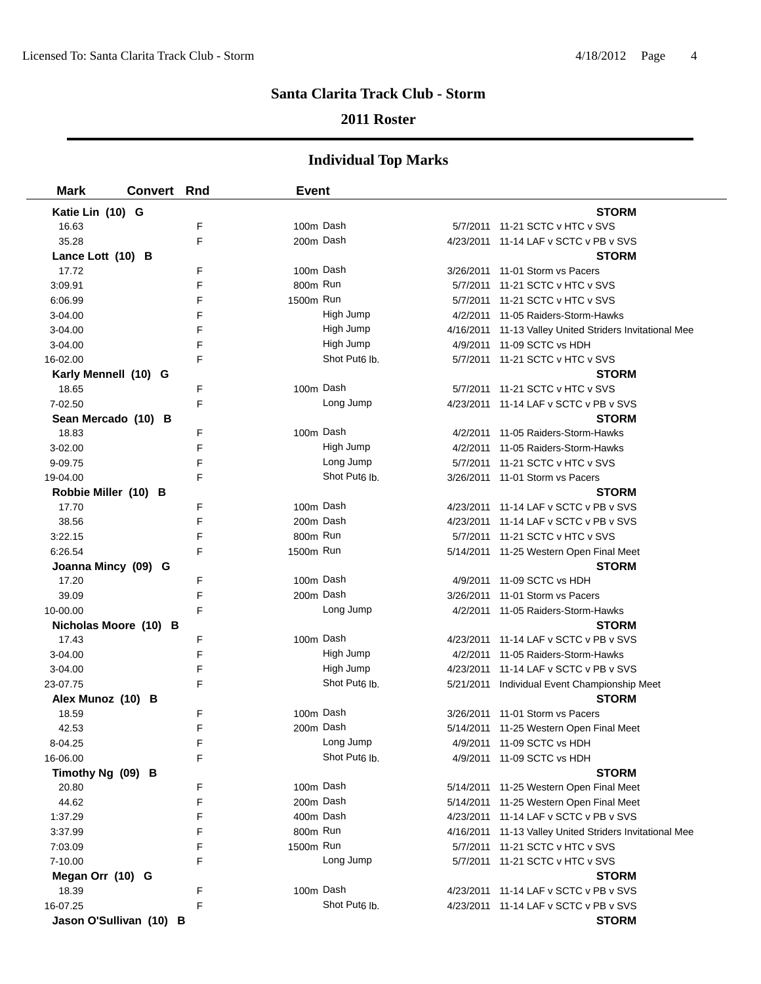### **2011 Roster**

| <b>Mark</b>             | <b>Convert Rnd</b> |   | <b>Event</b> |                           |                                                         |
|-------------------------|--------------------|---|--------------|---------------------------|---------------------------------------------------------|
| Katie Lin (10) G        |                    |   |              |                           | <b>STORM</b>                                            |
| 16.63                   |                    | F | 100m Dash    |                           | 5/7/2011 11-21 SCTC v HTC v SVS                         |
| 35.28                   |                    | F | 200m Dash    |                           | 4/23/2011 11-14 LAF v SCTC v PB v SVS                   |
| Lance Lott (10) B       |                    |   |              |                           | <b>STORM</b>                                            |
| 17.72                   |                    | F | 100m Dash    |                           | 3/26/2011 11-01 Storm vs Pacers                         |
| 3:09.91                 |                    | F | 800m Run     |                           | 5/7/2011 11-21 SCTC v HTC v SVS                         |
| 6:06.99                 |                    | F | 1500m Run    |                           | 5/7/2011 11-21 SCTC v HTC v SVS                         |
| $3 - 04.00$             |                    | F |              | High Jump                 | 4/2/2011 11-05 Raiders-Storm-Hawks                      |
| $3 - 04.00$             |                    | F |              | High Jump                 | 4/16/2011 11-13 Valley United Striders Invitational Mee |
| $3 - 04.00$             |                    | F |              | High Jump                 | 4/9/2011 11-09 SCTC vs HDH                              |
| 16-02.00                |                    | F |              | Shot Put <sub>6</sub> lb. | 5/7/2011 11-21 SCTC v HTC v SVS                         |
| Karly Mennell (10) G    |                    |   |              |                           | <b>STORM</b>                                            |
| 18.65                   |                    | F | 100m Dash    |                           | 5/7/2011 11-21 SCTC v HTC v SVS                         |
| 7-02.50                 |                    | F |              | Long Jump                 | 4/23/2011 11-14 LAF v SCTC v PB v SVS                   |
| Sean Mercado (10) B     |                    |   |              |                           | <b>STORM</b>                                            |
| 18.83                   |                    | F | 100m Dash    |                           | 4/2/2011 11-05 Raiders-Storm-Hawks                      |
| 3-02.00                 |                    | F |              | High Jump                 | 4/2/2011 11-05 Raiders-Storm-Hawks                      |
| 9-09.75                 |                    | F |              | Long Jump                 | 5/7/2011 11-21 SCTC v HTC v SVS                         |
| 19-04.00                |                    | F |              | Shot Put <sub>6</sub> lb. | 3/26/2011 11-01 Storm vs Pacers                         |
| Robbie Miller (10) B    |                    |   |              |                           | <b>STORM</b>                                            |
| 17.70                   |                    | F | 100m Dash    |                           | 4/23/2011 11-14 LAF v SCTC v PB v SVS                   |
| 38.56                   |                    | F | 200m Dash    |                           | 4/23/2011 11-14 LAF v SCTC v PB v SVS                   |
| 3:22.15                 |                    | F | 800m Run     |                           | 5/7/2011 11-21 SCTC v HTC v SVS                         |
| 6:26.54                 |                    | F | 1500m Run    |                           | 5/14/2011 11-25 Western Open Final Meet                 |
| Joanna Mincy (09) G     |                    |   |              |                           | <b>STORM</b>                                            |
| 17.20                   |                    | F | 100m Dash    |                           | 4/9/2011 11-09 SCTC vs HDH                              |
| 39.09                   |                    | F |              | 200m Dash                 | 3/26/2011 11-01 Storm vs Pacers                         |
| 10-00.00                |                    | F |              | Long Jump                 | 4/2/2011 11-05 Raiders-Storm-Hawks                      |
| Nicholas Moore (10) B   |                    |   |              |                           | <b>STORM</b>                                            |
| 17.43                   |                    | F |              | 100m Dash                 | 4/23/2011 11-14 LAF v SCTC v PB v SVS                   |
| 3-04.00                 |                    | F |              | High Jump                 | 4/2/2011 11-05 Raiders-Storm-Hawks                      |
| 3-04.00                 |                    | F |              | High Jump                 | 4/23/2011 11-14 LAF v SCTC v PB v SVS                   |
| 23-07.75                |                    | F |              | Shot Put <sub>6</sub> lb. | 5/21/2011 Individual Event Championship Meet            |
| Alex Munoz (10) B       |                    |   |              |                           | <b>STORM</b>                                            |
| 18.59                   |                    | F | 100m Dash    |                           | 3/26/2011 11-01 Storm vs Pacers                         |
| 42.53                   |                    | F |              | 200m Dash                 | 5/14/2011 11-25 Western Open Final Meet                 |
| 8-04.25                 |                    | F |              | Long Jump                 | 4/9/2011 11-09 SCTC vs HDH                              |
| 16-06.00                |                    | F |              | Shot Put <sub>6</sub> lb. | 4/9/2011 11-09 SCTC vs HDH                              |
| Timothy Ng (09) B       |                    |   |              |                           | <b>STORM</b>                                            |
| 20.80                   |                    | F | 100m Dash    |                           | 5/14/2011 11-25 Western Open Final Meet                 |
| 44.62                   |                    | F | 200m Dash    |                           | 5/14/2011 11-25 Western Open Final Meet                 |
| 1:37.29                 |                    | F |              | 400m Dash                 | 4/23/2011 11-14 LAF v SCTC v PB v SVS                   |
| 3:37.99                 |                    | F | 800m Run     |                           | 4/16/2011 11-13 Valley United Striders Invitational Mee |
| 7:03.09                 |                    | F | 1500m Run    |                           | 5/7/2011 11-21 SCTC v HTC v SVS                         |
| 7-10.00                 |                    | F |              | Long Jump                 | 5/7/2011 11-21 SCTC v HTC v SVS                         |
| Megan Orr (10) G        |                    |   |              |                           | <b>STORM</b>                                            |
| 18.39                   |                    | F | 100m Dash    |                           | 4/23/2011 11-14 LAF v SCTC v PB v SVS                   |
| 16-07.25                |                    | F |              | Shot Put <sub>6</sub> lb. | 4/23/2011 11-14 LAF v SCTC v PB v SVS                   |
| Jason O'Sullivan (10) B |                    |   |              |                           | <b>STORM</b>                                            |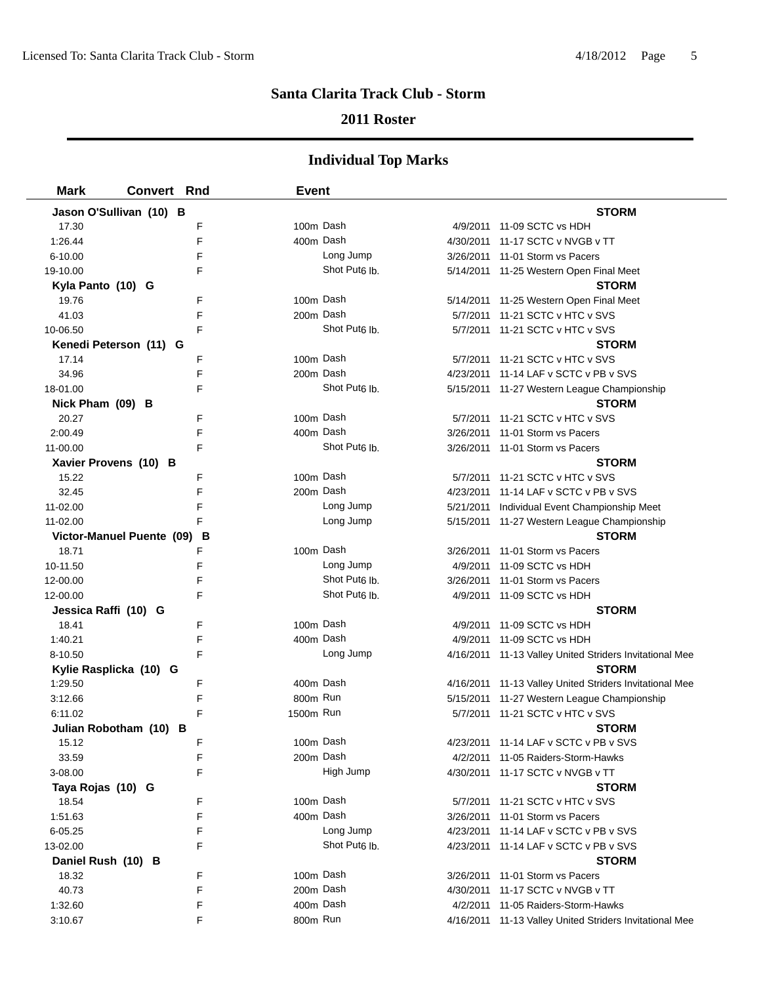### **2011 Roster**

| <b>Mark</b>          | <b>Convert Rnd</b>             | <b>Event</b> |                           |                                                         |
|----------------------|--------------------------------|--------------|---------------------------|---------------------------------------------------------|
|                      | Jason O'Sullivan (10) B        |              |                           | <b>STORM</b>                                            |
| 17.30                | F                              | 100m Dash    |                           | 4/9/2011 11-09 SCTC vs HDH                              |
| 1:26.44              | F                              | 400m Dash    |                           | 4/30/2011 11-17 SCTC v NVGB v TT                        |
| $6 - 10.00$          | F                              |              | Long Jump                 | 3/26/2011 11-01 Storm vs Pacers                         |
| 19-10.00             | F                              |              | Shot Put <sub>6</sub> lb. | 5/14/2011 11-25 Western Open Final Meet                 |
| Kyla Panto (10) G    |                                |              |                           | <b>STORM</b>                                            |
| 19.76                | F                              | 100m Dash    |                           | 5/14/2011 11-25 Western Open Final Meet                 |
| 41.03                | F                              | 200m Dash    |                           | 5/7/2011 11-21 SCTC v HTC v SVS                         |
| 10-06.50             | F                              |              | Shot Put <sub>6</sub> lb. | 5/7/2011 11-21 SCTC v HTC v SVS                         |
|                      | Kenedi Peterson (11) G         |              |                           | <b>STORM</b>                                            |
| 17.14                | F                              | 100m Dash    |                           | 5/7/2011 11-21 SCTC v HTC v SVS                         |
| 34.96                | F                              | 200m Dash    |                           | 4/23/2011 11-14 LAF v SCTC v PB v SVS                   |
| 18-01.00             | F                              |              | Shot Put <sub>6</sub> lb. | 5/15/2011 11-27 Western League Championship             |
| Nick Pham (09) B     |                                |              |                           | <b>STORM</b>                                            |
| 20.27                | F                              | 100m Dash    |                           | 5/7/2011 11-21 SCTC v HTC v SVS                         |
| 2:00.49              | F                              | 400m Dash    |                           | 3/26/2011 11-01 Storm vs Pacers                         |
| 11-00.00             | F                              |              | Shot Put <sub>6</sub> lb. | 3/26/2011 11-01 Storm vs Pacers                         |
|                      | Xavier Provens (10) B          |              |                           | <b>STORM</b>                                            |
| 15.22                | F                              | 100m Dash    |                           | 5/7/2011 11-21 SCTC v HTC v SVS                         |
| 32.45                | F                              | 200m Dash    |                           | 4/23/2011 11-14 LAF v SCTC v PB v SVS                   |
| 11-02.00             | F                              |              | Long Jump                 | 5/21/2011 Individual Event Championship Meet            |
| 11-02.00             | F                              |              | Long Jump                 | 5/15/2011 11-27 Western League Championship             |
|                      | Victor-Manuel Puente (09)<br>В |              |                           | <b>STORM</b>                                            |
| 18.71                | F                              | 100m Dash    |                           | 3/26/2011 11-01 Storm vs Pacers                         |
| 10-11.50             | F                              |              | Long Jump                 | 4/9/2011 11-09 SCTC vs HDH                              |
| 12-00.00             | F                              |              | Shot Put6 lb.             | 3/26/2011 11-01 Storm vs Pacers                         |
| 12-00.00             | F                              |              | Shot Put <sub>6</sub> lb. | 4/9/2011 11-09 SCTC vs HDH                              |
| Jessica Raffi (10) G |                                |              |                           | <b>STORM</b>                                            |
| 18.41                | F                              | 100m Dash    |                           | 4/9/2011 11-09 SCTC vs HDH                              |
| 1:40.21              | F                              | 400m Dash    |                           | 4/9/2011 11-09 SCTC vs HDH                              |
| 8-10.50              | F                              |              | Long Jump                 | 4/16/2011 11-13 Valley United Striders Invitational Mee |
|                      | Kylie Rasplicka (10) G         |              |                           | <b>STORM</b>                                            |
| 1:29.50              | F                              | 400m Dash    |                           | 4/16/2011 11-13 Valley United Striders Invitational Mee |
| 3:12.66              | F                              | 800m Run     |                           | 5/15/2011 11-27 Western League Championship             |
| 6:11.02              | F                              | 1500m Run    |                           | 5/7/2011 11-21 SCTC v HTC v SVS                         |
|                      | Julian Robotham (10) B         |              |                           | <b>STORM</b>                                            |
| 15.12                | F                              | 100m Dash    |                           | 4/23/2011 11-14 LAF v SCTC v PB v SVS                   |
| 33.59                | F                              | 200m Dash    |                           | 4/2/2011 11-05 Raiders-Storm-Hawks                      |
| 3-08.00              | F                              |              | High Jump                 | 4/30/2011 11-17 SCTC v NVGB v TT                        |
| Taya Rojas (10) G    |                                |              |                           | <b>STORM</b>                                            |
| 18.54                | F                              | 100m Dash    |                           | 5/7/2011 11-21 SCTC v HTC v SVS                         |
| 1:51.63              | F                              | 400m Dash    |                           | 3/26/2011 11-01 Storm vs Pacers                         |
| 6-05.25              | F                              |              | Long Jump                 | 4/23/2011 11-14 LAF v SCTC v PB v SVS                   |
| 13-02.00             | F                              |              | Shot Put <sub>6</sub> lb. | 4/23/2011 11-14 LAF v SCTC v PB v SVS                   |
| Daniel Rush (10) B   |                                |              |                           | <b>STORM</b>                                            |
| 18.32                | F                              | 100m Dash    |                           | 3/26/2011 11-01 Storm vs Pacers                         |
| 40.73                | F                              | 200m Dash    |                           | 4/30/2011 11-17 SCTC v NVGB v TT                        |
| 1:32.60              | F                              | 400m Dash    |                           | 4/2/2011 11-05 Raiders-Storm-Hawks                      |
| 3:10.67              | F                              | 800m Run     |                           | 4/16/2011 11-13 Valley United Striders Invitational Mee |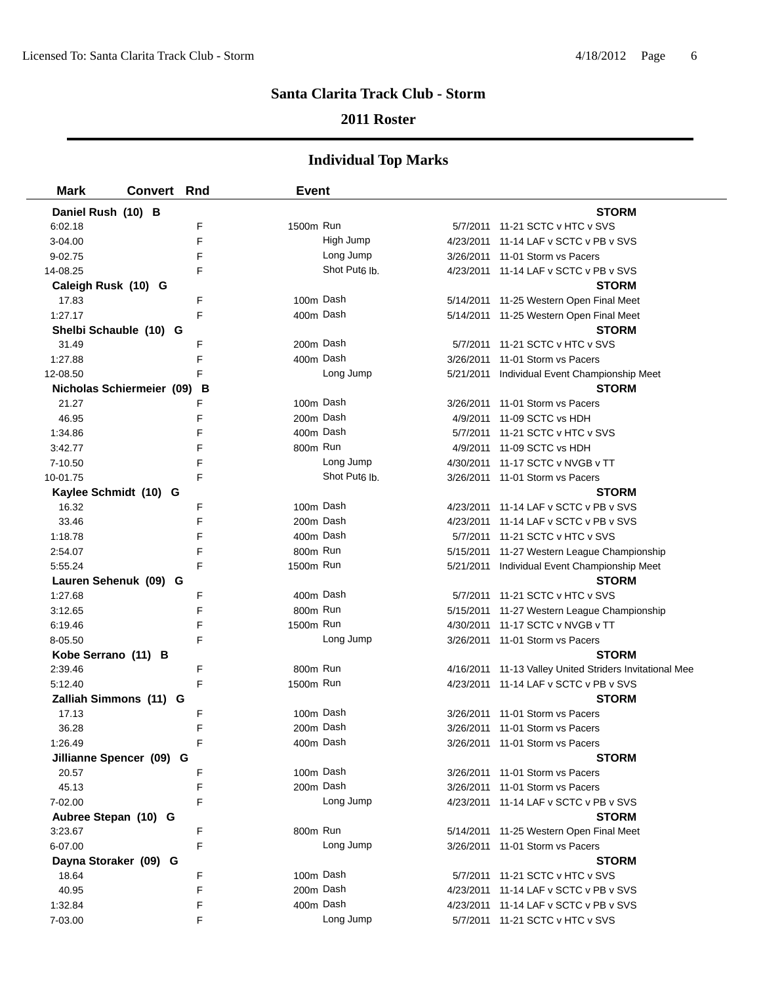### **2011 Roster**

| <b>Mark</b>          | <b>Convert</b>            | Rnd    | <b>Event</b> |                           |                                                         |
|----------------------|---------------------------|--------|--------------|---------------------------|---------------------------------------------------------|
| Daniel Rush (10) B   |                           |        |              |                           | <b>STORM</b>                                            |
| 6:02.18              |                           | F      | 1500m Run    |                           | 5/7/2011 11-21 SCTC v HTC v SVS                         |
| 3-04.00              |                           | F      |              | High Jump                 | 4/23/2011 11-14 LAF v SCTC v PB v SVS                   |
| 9-02.75              |                           | F      |              | Long Jump                 | 3/26/2011 11-01 Storm vs Pacers                         |
| 14-08.25             |                           | F      |              | Shot Put <sub>6</sub> Ib. | 4/23/2011 11-14 LAF v SCTC v PB v SVS                   |
| Caleigh Rusk (10) G  |                           |        |              |                           | <b>STORM</b>                                            |
| 17.83                |                           | F      | 100m Dash    |                           | 5/14/2011 11-25 Western Open Final Meet                 |
| 1:27.17              |                           | F      | 400m Dash    |                           | 5/14/2011 11-25 Western Open Final Meet                 |
|                      | Shelbi Schauble (10) G    |        |              |                           | STORM                                                   |
| 31.49                |                           | F      | 200m Dash    |                           | 5/7/2011 11-21 SCTC v HTC v SVS                         |
| 1:27.88              |                           | F      | 400m Dash    |                           | 3/26/2011 11-01 Storm vs Pacers                         |
| 12-08.50             |                           | F      |              | Long Jump                 | 5/21/2011 Individual Event Championship Meet            |
|                      | Nicholas Schiermeier (09) | в      |              |                           | <b>STORM</b>                                            |
| 21.27                |                           | F      | 100m Dash    |                           | 3/26/2011 11-01 Storm vs Pacers                         |
| 46.95                |                           | F      | 200m Dash    |                           | 4/9/2011 11-09 SCTC vs HDH                              |
| 1:34.86              |                           | F      | 400m Dash    |                           | 5/7/2011 11-21 SCTC v HTC v SVS                         |
| 3:42.77              |                           | F      | 800m Run     |                           | 4/9/2011 11-09 SCTC vs HDH                              |
| 7-10.50              |                           | F      |              | Long Jump                 | 4/30/2011 11-17 SCTC v NVGB v TT                        |
| 10-01.75             |                           | F      |              | Shot Put <sub>6</sub> lb. | 3/26/2011 11-01 Storm vs Pacers                         |
|                      | Kaylee Schmidt (10) G     |        |              |                           | <b>STORM</b>                                            |
| 16.32                |                           | F      | 100m Dash    |                           | 4/23/2011 11-14 LAF v SCTC v PB v SVS                   |
| 33.46                |                           | F      | 200m Dash    |                           | 4/23/2011 11-14 LAF v SCTC v PB v SVS                   |
| 1:18.78              |                           | F      | 400m Dash    |                           | 5/7/2011 11-21 SCTC v HTC v SVS                         |
| 2:54.07              |                           | F      | 800m Run     |                           | 5/15/2011 11-27 Western League Championship             |
| 5:55.24              |                           | F      | 1500m Run    |                           | 5/21/2011 Individual Event Championship Meet            |
|                      | Lauren Sehenuk (09) G     |        |              |                           | <b>STORM</b>                                            |
| 1:27.68              |                           | F      | 400m Dash    |                           | 5/7/2011 11-21 SCTC v HTC v SVS                         |
| 3:12.65              |                           | F      | 800m Run     |                           | 5/15/2011 11-27 Western League Championship             |
| 6:19.46              |                           | F      | 1500m Run    |                           | 4/30/2011 11-17 SCTC v NVGB v TT                        |
| 8-05.50              |                           | F      |              | Long Jump                 | 3/26/2011 11-01 Storm vs Pacers                         |
| Kobe Serrano (11) B  |                           |        |              |                           | <b>STORM</b>                                            |
| 2:39.46              |                           | F      | 800m Run     |                           | 4/16/2011 11-13 Valley United Striders Invitational Mee |
| 5:12.40              |                           | F      | 1500m Run    |                           | 4/23/2011 11-14 LAF v SCTC v PB v SVS                   |
|                      | Zalliah Simmons (11) G    |        |              |                           | <b>STORM</b>                                            |
| 17.13                |                           | F      | 100m Dash    |                           | 3/26/2011 11-01 Storm vs Pacers                         |
| 36.28                |                           | F      | 200m Dash    |                           | 3/26/2011 11-01 Storm vs Pacers                         |
| 1:26.49              |                           | F      | 400m Dash    |                           | 3/26/2011 11-01 Storm vs Pacers                         |
|                      | Jillianne Spencer (09) G  |        |              |                           | <b>STORM</b>                                            |
| 20.57                |                           | F      | 100m Dash    |                           | 3/26/2011 11-01 Storm vs Pacers                         |
| 45.13                |                           | F      | 200m Dash    |                           | 3/26/2011 11-01 Storm vs Pacers                         |
| 7-02.00              |                           | F      |              | Long Jump                 | 4/23/2011 11-14 LAF v SCTC v PB v SVS                   |
| Aubree Stepan (10) G |                           |        | 800m Run     |                           | <b>STORM</b>                                            |
| 3:23.67              |                           | F<br>F |              | Long Jump                 | 5/14/2011 11-25 Western Open Final Meet                 |
| 6-07.00              |                           |        |              |                           | 3/26/2011 11-01 Storm vs Pacers<br><b>STORM</b>         |
| 18.64                | Dayna Storaker (09) G     | F      | 100m Dash    |                           | 5/7/2011 11-21 SCTC v HTC v SVS                         |
| 40.95                |                           | F      | 200m Dash    |                           | 4/23/2011 11-14 LAF v SCTC v PB v SVS                   |
| 1:32.84              |                           | F      | 400m Dash    |                           | 4/23/2011 11-14 LAF v SCTC v PB v SVS                   |
| 7-03.00              |                           | F      |              | Long Jump                 | 5/7/2011 11-21 SCTC v HTC v SVS                         |
|                      |                           |        |              |                           |                                                         |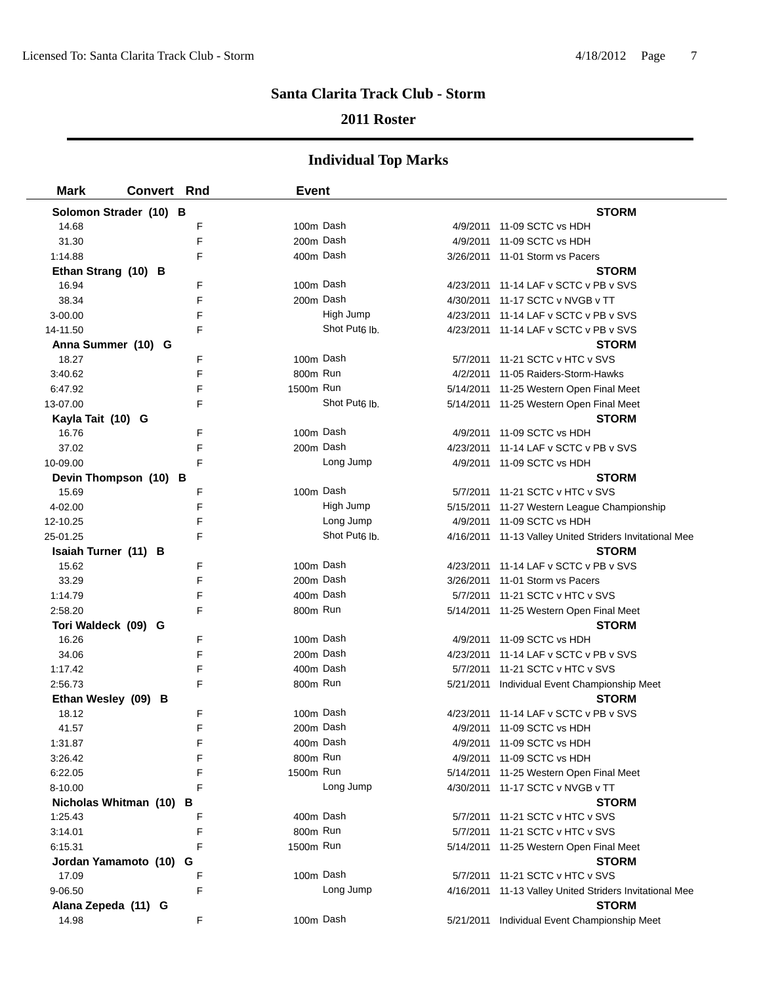### **2011 Roster**

| <b>Mark</b>             | <b>Convert Rnd</b> |   | <b>Event</b> |                           |                                                         |
|-------------------------|--------------------|---|--------------|---------------------------|---------------------------------------------------------|
| Solomon Strader (10) B  |                    |   |              |                           | <b>STORM</b>                                            |
| 14.68                   |                    | F | 100m Dash    |                           | 4/9/2011 11-09 SCTC vs HDH                              |
| 31.30                   |                    | F | 200m Dash    |                           | 4/9/2011 11-09 SCTC vs HDH                              |
| 1:14.88                 |                    | F | 400m Dash    |                           | 3/26/2011 11-01 Storm vs Pacers                         |
| Ethan Strang (10) B     |                    |   |              |                           | STORM                                                   |
| 16.94                   |                    | F | 100m Dash    |                           | 4/23/2011 11-14 LAF v SCTC v PB v SVS                   |
| 38.34                   |                    | F | 200m Dash    |                           | 4/30/2011 11-17 SCTC v NVGB v TT                        |
| $3 - 00.00$             |                    | F |              | High Jump                 | 4/23/2011 11-14 LAF v SCTC v PB v SVS                   |
| 14-11.50                |                    | F |              | Shot Put <sub>6</sub> lb. | 4/23/2011 11-14 LAF v SCTC v PB v SVS                   |
| Anna Summer (10) G      |                    |   |              |                           | <b>STORM</b>                                            |
| 18.27                   |                    | F | 100m Dash    |                           | 5/7/2011 11-21 SCTC v HTC v SVS                         |
| 3:40.62                 |                    | F | 800m Run     |                           | 4/2/2011 11-05 Raiders-Storm-Hawks                      |
| 6:47.92                 |                    | F | 1500m Run    |                           | 5/14/2011 11-25 Western Open Final Meet                 |
| 13-07.00                |                    | F |              | Shot Put <sub>6</sub> lb. | 5/14/2011 11-25 Western Open Final Meet                 |
| Kayla Tait (10) G       |                    |   |              |                           | <b>STORM</b>                                            |
| 16.76                   |                    | F | 100m Dash    |                           | 4/9/2011 11-09 SCTC vs HDH                              |
| 37.02                   |                    | F | 200m Dash    |                           | 4/23/2011 11-14 LAF v SCTC v PB v SVS                   |
| 10-09.00                |                    | F |              | Long Jump                 | 4/9/2011 11-09 SCTC vs HDH                              |
| Devin Thompson (10) B   |                    |   |              |                           | <b>STORM</b>                                            |
| 15.69                   |                    | F | 100m Dash    |                           | 5/7/2011 11-21 SCTC v HTC v SVS                         |
| 4-02.00                 |                    | F |              | High Jump                 | 5/15/2011 11-27 Western League Championship             |
| 12-10.25                |                    | F |              | Long Jump                 | 4/9/2011 11-09 SCTC vs HDH                              |
| 25-01.25                |                    | F |              | Shot Put <sub>6</sub> lb. | 4/16/2011 11-13 Valley United Striders Invitational Mee |
| Isaiah Turner (11) B    |                    |   |              |                           | <b>STORM</b>                                            |
| 15.62                   |                    | F | 100m Dash    |                           | 4/23/2011 11-14 LAF v SCTC v PB v SVS                   |
| 33.29                   |                    | F | 200m Dash    |                           | 3/26/2011 11-01 Storm vs Pacers                         |
| 1:14.79                 |                    | F | 400m Dash    |                           | 5/7/2011 11-21 SCTC v HTC v SVS                         |
| 2:58.20                 |                    | F | 800m Run     |                           | 5/14/2011 11-25 Western Open Final Meet                 |
| Tori Waldeck (09) G     |                    |   |              |                           | <b>STORM</b>                                            |
| 16.26                   |                    | F | 100m Dash    |                           | 4/9/2011 11-09 SCTC vs HDH                              |
| 34.06                   |                    | F | 200m Dash    |                           | 4/23/2011 11-14 LAF v SCTC v PB v SVS                   |
| 1:17.42                 |                    | F | 400m Dash    |                           | 5/7/2011 11-21 SCTC v HTC v SVS                         |
| 2:56.73                 |                    | F | 800m Run     |                           | 5/21/2011 Individual Event Championship Meet            |
| Ethan Wesley (09) B     |                    |   |              |                           | <b>STORM</b>                                            |
| 18.12                   |                    | F | 100m Dash    |                           | 4/23/2011 11-14 LAF v SCTC v PB v SVS                   |
| 41.57                   |                    | F | 200m Dash    |                           | 4/9/2011 11-09 SCTC vs HDH                              |
| 1:31.87                 |                    | F | 400m Dash    |                           | 4/9/2011 11-09 SCTC vs HDH                              |
| 3:26.42                 |                    | F | 800m Run     |                           | 4/9/2011 11-09 SCTC vs HDH                              |
| 6:22.05                 |                    | F | 1500m Run    |                           | 5/14/2011 11-25 Western Open Final Meet                 |
| 8-10.00                 |                    | F |              | Long Jump                 | 4/30/2011 11-17 SCTC v NVGB v TT                        |
| Nicholas Whitman (10) B |                    |   |              |                           | <b>STORM</b>                                            |
| 1:25.43                 |                    | F | 400m Dash    |                           | 5/7/2011 11-21 SCTC v HTC v SVS                         |
| 3:14.01                 |                    | F | 800m Run     |                           | 5/7/2011 11-21 SCTC v HTC v SVS                         |
| 6:15.31                 |                    | F | 1500m Run    |                           | 5/14/2011 11-25 Western Open Final Meet                 |
| Jordan Yamamoto (10)    |                    | G |              |                           | <b>STORM</b>                                            |
| 17.09                   |                    | F | 100m Dash    |                           | 5/7/2011 11-21 SCTC v HTC v SVS                         |
| 9-06.50                 |                    | F |              | Long Jump                 | 4/16/2011 11-13 Valley United Striders Invitational Mee |
| Alana Zepeda (11) G     |                    |   |              |                           | <b>STORM</b>                                            |
| 14.98                   |                    | F | 100m Dash    |                           | 5/21/2011 Individual Event Championship Meet            |